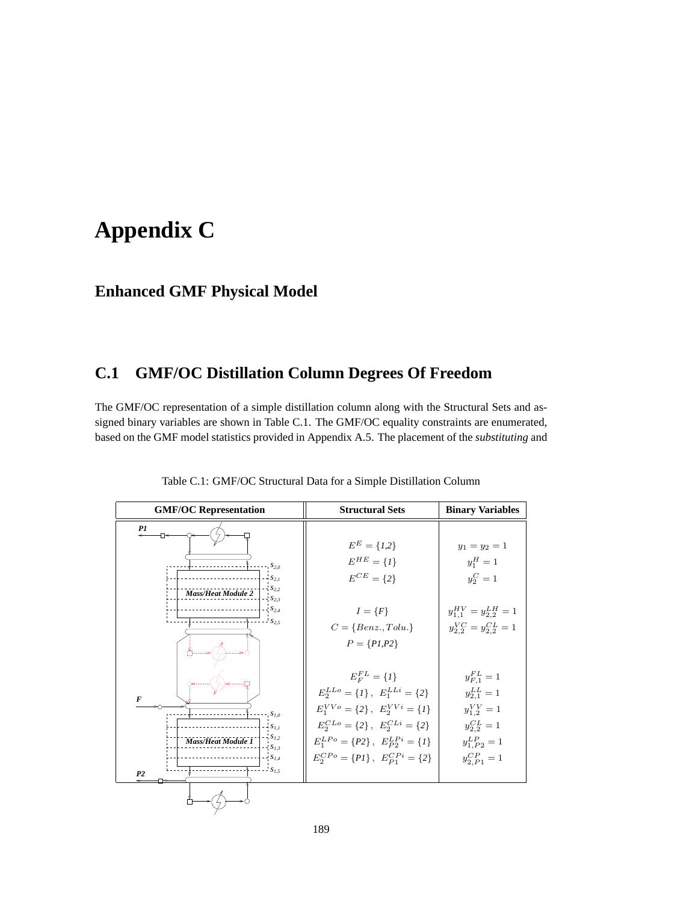# **Appendix C**

### **Enhanced GMF Physical Model**

## **C.1 GMF/OC Distillation Column Degrees Of Freedom**

The GMF/OC representation of a simple distillation column along with the Structural Sets and assigned binary variables are shown in Table C.1. The GMF/OC equality constraints are enumerated, based on the GMF model statistics provided in Appendix A.5. The placement of the *substituting* and

| <b>GMF/OC Representation</b>                        | <b>Structural Sets</b>                     | <b>Binary Variables</b>           |
|-----------------------------------------------------|--------------------------------------------|-----------------------------------|
| P1                                                  |                                            |                                   |
|                                                     | $E^E = \{1,2\}$                            | $y_1 = y_2 = 1$                   |
| $S_{2,0}$                                           | $E^{HE} = \{I\}$                           | $y_1^H = 1$                       |
| $S_{2,I}$                                           | $E^{CE} = \{2\}$                           | $y_2^C = 1$                       |
| $S_{2,2}$<br><b>Mass/Heat Module 2</b><br>$S_{2,3}$ |                                            |                                   |
| $S_{2,4}$                                           | $I = {F}$                                  | $y_{1,1}^{HV}=y_{2,2}^{LH}=1$     |
| $-S_{2.5}$                                          | $C = \{Benz., Tolu.\}$                     | $y_{2,2}^{VC} = y_{2,2}^{CL} = 1$ |
|                                                     | $P = {PI,P2}$                              |                                   |
|                                                     | $E_{F}^{FL} = \{1\}$                       | $y_{F,1}^{FL} = 1$                |
| F                                                   | $E_2^{LLo} = \{1\}, E_1^{LLi} = \{2\}$     | $y_{2,1}^{LL} = 1$                |
| $S_{1,0}$                                           | $E_1^{VVo} = \{2\}, E_2^{VVi} = \{1\}$     | $y_{1,2}^{VV} = 1$                |
| $S_{1,1}$                                           | $E_2^{CLo} = \{2\}, E_2^{CLi} = \{2\}$     | $y_{2,2}^{CL} = 1$                |
| $S_{1,2}$<br><b>Mass/Heat Module 1</b><br>$S_{1,3}$ | $E_1^{LPo} = \{P2\}, E_{P2}^{LPi} = \{I\}$ | $y_{1,P2}^{LP} = 1$               |
| $S_{1,4}$                                           | $E_2^{CPo} = \{PI\}, E_{P1}^{CPi} = \{2\}$ | $y_{2.P1}^{CP} = 1$               |
| $- S_{1.5}$<br>P <sub>2</sub>                       |                                            |                                   |
|                                                     |                                            |                                   |

Table C.1: GMF/OC Structural Data for a Simple Distillation Column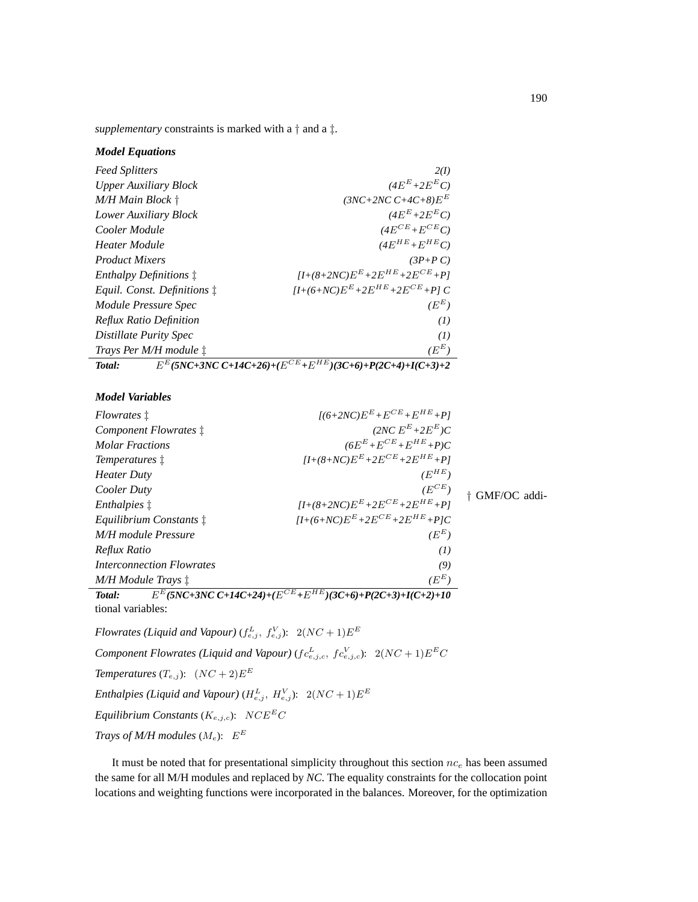*supplementary* constraints is marked with a † and a ‡.

#### *Model Equations*

| <b>Feed Splitters</b>                  | 2(I)                                                                      |
|----------------------------------------|---------------------------------------------------------------------------|
| <b>Upper Auxiliary Block</b>           | $(4E^{E}+2E^{E}C)$                                                        |
| $M/H$ Main Block $\dagger$             | $(3NC+2NC C+4C+8)E^{E}$                                                   |
| Lower Auxiliary Block                  | $(4E^{E}+2E^{E}C)$                                                        |
| Cooler Module                          | $(4E^{CE} + E^{CE}C)$                                                     |
| Heater Module                          | $(4E^{HE}+E^{HE}C)$                                                       |
| <b>Product Mixers</b>                  | $(3P+PC)$                                                                 |
| <i>Enthalpy Definitions</i> $\ddagger$ | $[I+(8+2NC)E^{E}+2E^{HE}+2E^{CE}+P]$                                      |
| Equil. Const. Definitions $\ddagger$   | $[I+(6+NC)E^{E}+2E^{HE}+2E^{CE}+P]C$                                      |
| Module Pressure Spec                   | $(E^{E})$                                                                 |
| Reflux Ratio Definition                | (I)                                                                       |
| Distillate Purity Spec                 | (I)                                                                       |
| Trays Per M/H module $\ddagger$        | $(E^E)$                                                                   |
| Total:                                 | $E^{E}$ (5NC+3NC C+14C+26)+( $E^{CE}$ + $E^{HE}$ )(3C+6)+P(2C+4)+I(C+3)+2 |

*Model Variables*

| <i>Flowrates</i> $\ddagger$      | $[(6+2NC)E^{E}+E^{CE}+E^{HE}+P]$     |                |
|----------------------------------|--------------------------------------|----------------|
| Component Flowrates $\ddagger$   | $(2NC EE+2EE)C$                      |                |
| <b>Molar Fractions</b>           | $(6E^{E}+E^{CE}+E^{HE}+P)C$          |                |
| Temperatures $\ddagger$          | $[I+(8+NC)E^{E}+2E^{CE}+2E^{HE}+P]$  |                |
| Heater Duty                      | $(E^{HE})$                           |                |
| Cooler Duty                      | $(E^{CE})$                           | † GMF/OC addi- |
| Enthalpies $\ddagger$            | $[I+(8+2NC)E^{E}+2E^{CE}+2E^{HE}+P]$ |                |
| Equilibrium Constants $\ddagger$ | $[I+(6+NC)E^{E}+2E^{CE}+2E^{HE}+P]C$ |                |
| M/H module Pressure              | $(E^E)$                              |                |
| Reflux Ratio                     | (I)                                  |                |
| <i>Interconnection Flowrates</i> | (9)                                  |                |
| $M/H$ Module Trays $\ddagger$    | $(E^E)$                              |                |
|                                  | $\alpha$ $\pi$<br>$TT$ $T$           |                |

Total: <sup>E</sup>*(5NC+3NC C+14C+24)+(*E CE*+*E HE*)(3C+6)+P(2C+3)+I(C+2)+10* tional variables:

*Flowrates (Liquid and Vapour)*  $(f_{e,j}^L, f_{e,j}^V)$ :  $2(NC+1)E^E$ *Component Flowrates (Liquid and Vapour)* ( $fc_{e,j,c}^L$ ,  $fc_{e,j,c}^V$ ):  $2(NC+1)E^EC$ *Temperatures*  $(T_{e,j})$ :  $(NC+2)E<sup>E</sup>$ Enthalpies (Liquid and Vapour)  $(H_{e,j}^L, H_{e,j}^V)$ :  $2(NC+1)E^E$ *Equilibrium Constants*  $(K_{e,j,c})$ :  $NCE^{E}C$ *Trays of M/H modules*  $(M_e)$ :  $E^E$ 

It must be noted that for presentational simplicity throughout this section  $nc_e$  has been assumed the same for all M/H modules and replaced by *NC*. The equality constraints for the collocation point locations and weighting functions were incorporated in the balances. Moreover, for the optimization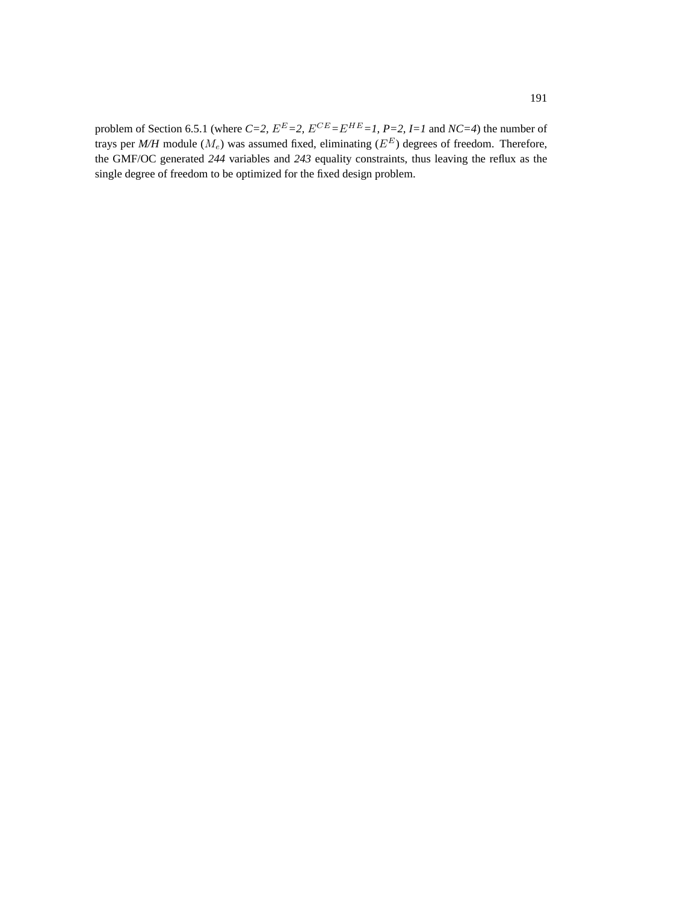problem of Section 6.5.1 (where  $C=2$ ,  $E^{E}=2$ ,  $E^{CE}=E^{HE}=1$ ,  $P=2$ ,  $I=1$  and  $NC=4$ ) the number of trays per  $M/H$  module  $(M_e)$  was assumed fixed, eliminating  $(E^E)$  degrees of freedom. Therefore, the GMF/OC generated *244* variables and *243* equality constraints, thus leaving the reflux as the single degree of freedom to be optimized for the fixed design problem.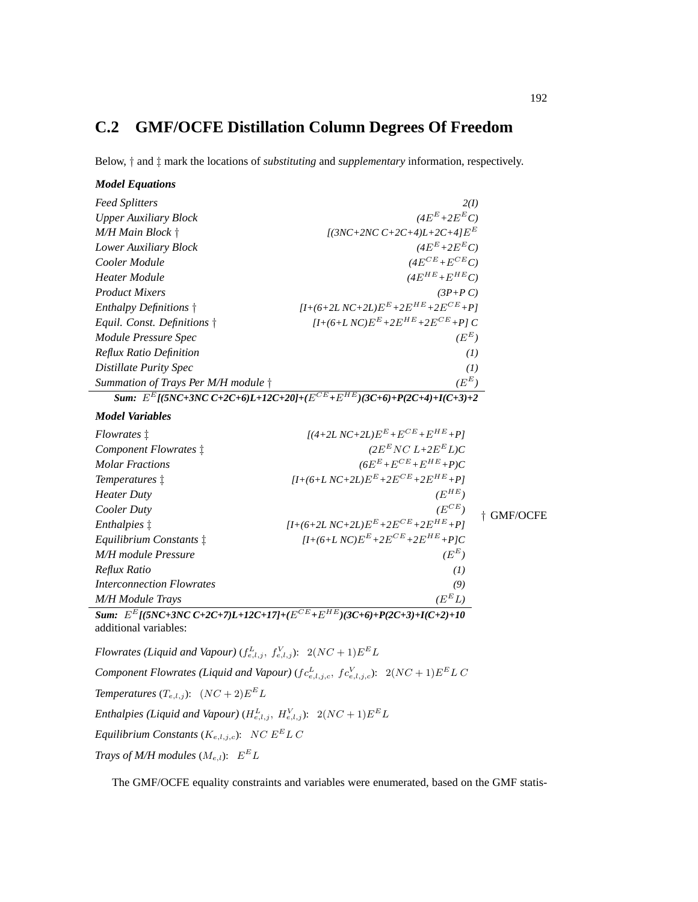### **C.2 GMF/OCFE Distillation Column Degrees Of Freedom**

Below, † and ‡ mark the locations of *substituting* and *supplementary* information, respectively.

#### *Model Equations*

 $Equilibrium$ *Constants*<sup> $†$ </sup>

 $M/H$  module Pressure

 $M/H$  *Module Trays* 

| <b>Feed Splitters</b>                       | 2(I)                                                                                   |                 |
|---------------------------------------------|----------------------------------------------------------------------------------------|-----------------|
| <b>Upper Auxiliary Block</b>                | $(4E^{E}+2E^{E}C)$                                                                     |                 |
| $M/H$ Main Block $\dagger$                  | $[(3NC+2NC C+2C+4)L+2C+4]EE$                                                           |                 |
| Lower Auxiliary Block                       | $(4E^{E}+2E^{E}C)$                                                                     |                 |
| Cooler Module                               | $(4E^{CE} + E^{CE}C)$                                                                  |                 |
| Heater Module                               | $(4E^{HE}+E^{HE}C)$                                                                    |                 |
| <b>Product Mixers</b>                       | $(3P+PC)$                                                                              |                 |
| Enthalpy Definitions $\dagger$              | $[I+(6+2LNC+2L)E^{E}+2E^{HE}+2E^{CE}+P]$                                               |                 |
| Equil. Const. Definitions $\dagger$         | $[I+(6+LNC)E^{E}+2E^{HE}+2E^{CE}+PIC$                                                  |                 |
| Module Pressure Spec                        | $(E^E)$                                                                                |                 |
| Reflux Ratio Definition                     | (I)                                                                                    |                 |
| Distillate Purity Spec                      | (I)                                                                                    |                 |
| Summation of Trays Per M/H module $\dagger$ | $(E^{E})$                                                                              |                 |
|                                             | Sum: $E^{E}$ [(5NC+3NC C+2C+6)L+12C+20]+( $E^{CE}$ + $E^{HE}$ )(3C+6)+P(2C+4)+I(C+3)+2 |                 |
| <b>Model Variables</b>                      |                                                                                        |                 |
| <i>Flowrates</i> $\ddagger$                 | $[(4+2LNC+2L)E^{E}+E^{CE}+E^{HE}+P]$                                                   |                 |
| Component Flowrates $\ddagger$              | $(2EE NC L+2EEL)C$                                                                     |                 |
| <b>Molar Fractions</b>                      | $(6E^{E}+E^{CE}+E^{HE}+P)C$                                                            |                 |
| Temperatures $\ddagger$                     | $[I+(6+LNC+2L)E^{E}+2E^{CE}+2E^{HE}+P]$                                                |                 |
| Heater Duty                                 | $(E^{HE})$                                                                             |                 |
| Cooler Duty                                 | $(E^{CE})$                                                                             | <b>GMF/OCFE</b> |
| Enthalpies $\ddagger$                       | $[I+(6+2L\,NC+2L)E^{E}+2E^{CE}+2E^{HE}+PI$                                             |                 |

 $E + 2E^{CE} + 2E^{HE} + P$ *JC* 

 $(E^E)$ 

 $(E^{E}L)$ 

*Sum:* E <sup>E</sup>*[(5NC+3NC C+2C+7)L+12C+17]+(*E CE*+*E HE*)(3C+6)+P(2C+3)+I(C+2)+10* additional variables:

*Reflux Ratio (1) Interconnection Flowrates (9)*

Flowrates (Liquid and Vapour)  $(f_{e,l,j}^L, f_{e,l,j}^V)$ :  $2(NC+1)E^E L$ *Component Flowrates (Liquid and Vapour)* ( $fc_{e,l,j,c}^L$ ,  $fc_{e,l,j,c}^V$ ):  $2(NC+1)E^E L C$ *Temperatures*  $(T_{e,l,j})$ :  $(NC+2)E^{E}L$ Enthalpies (Liquid and Vapour) ( $H_{e,l,j}^L$ ,  $H_{e,l,j}^V$ ):  $2(NC+1)E^E L$ *Equilibrium Constants* ( $K_{e,l,j,c}$ ): NC  $E^{E} L C$ *Trays of M/H modules*  $(M_{e,l})$ :  $E^{E}L$ 

The GMF/OCFE equality constraints and variables were enumerated, based on the GMF statis-